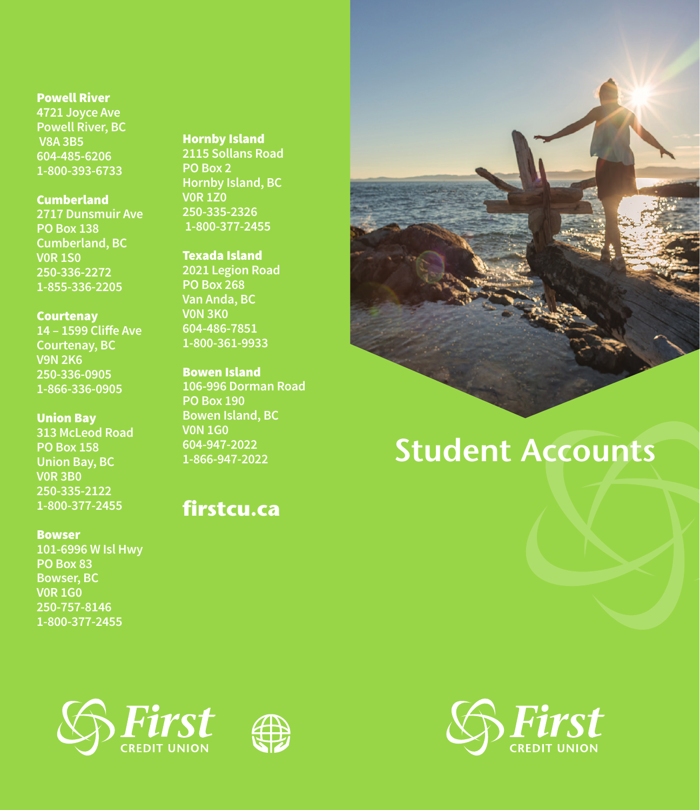#### Powell River

**4721 Joyce Ave Powell River, BC V8A 3B5 604-485-6206 1-800-393-6733**

## Cumberland

**2717 Dunsmuir Ave PO Box 138 Cumberland, BC V0R 1S0 250-336-2272 1-855-336-2205**

### **Courtenay**

**14 – 1599 Cliffe Ave Courtenay, BC V9N 2K6 250-336-0905 1-866-336-0905**

#### Union Bay

**313 McLeod Road PO Box 158 Union Bay, BC V0R 3B0 250-335-2122 1-800-377-2455**

#### Bowser

**101-6996 W Isl Hwy PO Box 83 Bowser, BC V0R 1G0 250-757-8146 1-800-377-2455**

# Hornby Island

**2115 Sollans Road PO Box 2 Hornby Island, BC V0R 1Z0 250-335-2326 1-800-377-2455**

# Texada Island

**2021 Legion Road PO Box 268 Van Anda, BC V0N 3K0 604-486-7851 1-800-361-9933**

## Bowen Island

**106-996 Dorman Road PO Box 190 Bowen Island, BC V0N 1G0 604-947-2022 1-866-947-2022**

# **firstcu.ca**



# **Student Accounts**